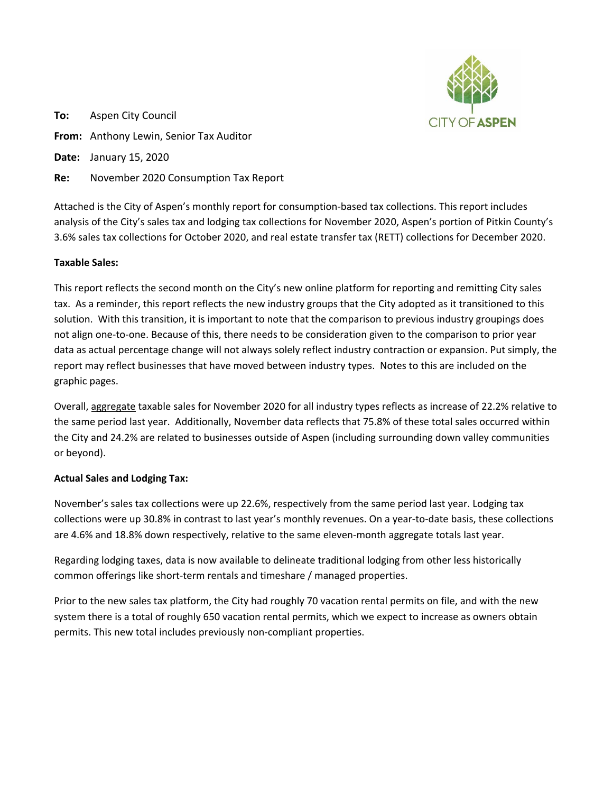

**To:** Aspen City Council **From:** Anthony Lewin, Senior Tax Auditor **Date:** January 15, 2020

**Re:** November 2020 Consumption Tax Report

Attached is the City of Aspen's monthly report for consumption‐based tax collections. This report includes analysis of the City's sales tax and lodging tax collections for November 2020, Aspen's portion of Pitkin County's 3.6% sales tax collections for October 2020, and real estate transfer tax (RETT) collections for December 2020.

# **Taxable Sales:**

This report reflects the second month on the City's new online platform for reporting and remitting City sales tax. As a reminder, this report reflects the new industry groups that the City adopted as it transitioned to this solution. With this transition, it is important to note that the comparison to previous industry groupings does not align one‐to‐one. Because of this, there needs to be consideration given to the comparison to prior year data as actual percentage change will not always solely reflect industry contraction or expansion. Put simply, the report may reflect businesses that have moved between industry types. Notes to this are included on the graphic pages.

Overall, aggregate taxable sales for November 2020 for all industry types reflects as increase of 22.2% relative to the same period last year. Additionally, November data reflects that 75.8% of these total sales occurred within the City and 24.2% are related to businesses outside of Aspen (including surrounding down valley communities or beyond).

# **Actual Sales and Lodging Tax:**

November's sales tax collections were up 22.6%, respectively from the same period last year. Lodging tax collections were up 30.8% in contrast to last year's monthly revenues. On a year-to-date basis, these collections are 4.6% and 18.8% down respectively, relative to the same eleven-month aggregate totals last year.

Regarding lodging taxes, data is now available to delineate traditional lodging from other less historically common offerings like short-term rentals and timeshare / managed properties.

Prior to the new sales tax platform, the City had roughly 70 vacation rental permits on file, and with the new system there is a total of roughly 650 vacation rental permits, which we expect to increase as owners obtain permits. This new total includes previously non‐compliant properties.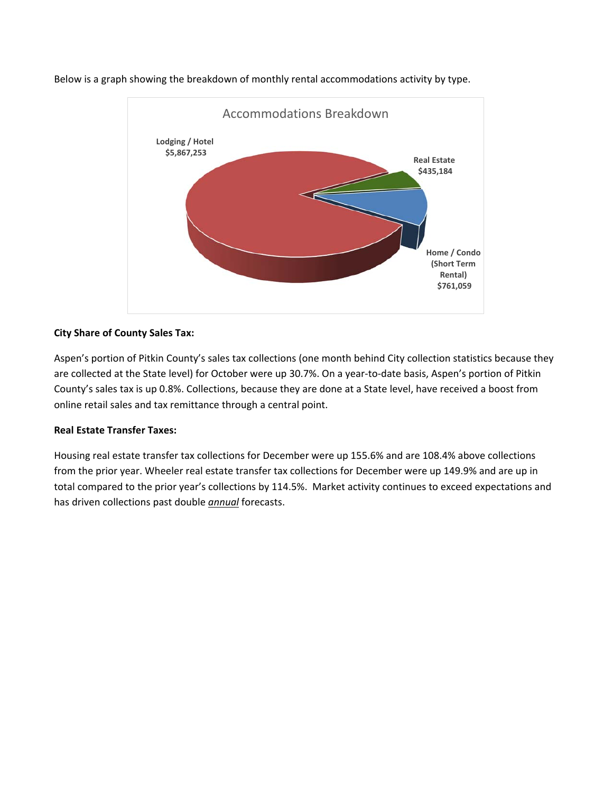

Below is a graph showing the breakdown of monthly rental accommodations activity by type.

# **City Share of County Sales Tax:**

Aspen's portion of Pitkin County's sales tax collections (one month behind City collection statistics because they are collected at the State level) for October were up 30.7%. On a year-to-date basis, Aspen's portion of Pitkin County's sales tax is up 0.8%. Collections, because they are done at a State level, have received a boost from online retail sales and tax remittance through a central point.

# **Real Estate Transfer Taxes:**

Housing real estate transfer tax collections for December were up 155.6% and are 108.4% above collections from the prior year. Wheeler real estate transfer tax collections for December were up 149.9% and are up in total compared to the prior year's collections by 114.5%. Market activity continues to exceed expectations and has driven collections past double *annual* forecasts.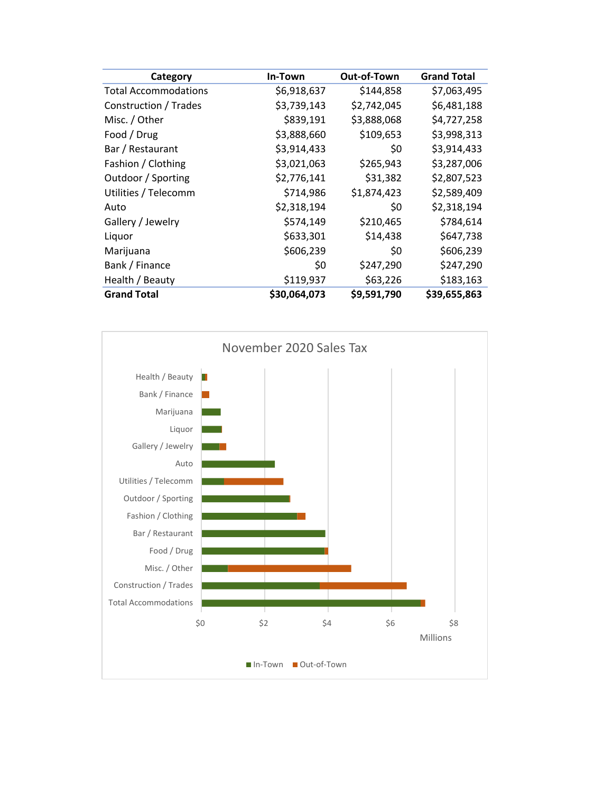| Category                    | In-Town      | Out-of-Town | <b>Grand Total</b> |
|-----------------------------|--------------|-------------|--------------------|
| <b>Total Accommodations</b> | \$6,918,637  | \$144,858   | \$7,063,495        |
| Construction / Trades       | \$3,739,143  | \$2,742,045 | \$6,481,188        |
| Misc. / Other               | \$839,191    | \$3,888,068 | \$4,727,258        |
| Food / Drug                 | \$3,888,660  | \$109,653   | \$3,998,313        |
| Bar / Restaurant            | \$3,914,433  | \$0         | \$3,914,433        |
| Fashion / Clothing          | \$3,021,063  | \$265,943   | \$3,287,006        |
| Outdoor / Sporting          | \$2,776,141  | \$31,382    | \$2,807,523        |
| Utilities / Telecomm        | \$714,986    | \$1,874,423 | \$2,589,409        |
| Auto                        | \$2,318,194  | \$0         | \$2,318,194        |
| Gallery / Jewelry           | \$574,149    | \$210,465   | \$784,614          |
| Liquor                      | \$633,301    | \$14,438    | \$647,738          |
| Marijuana                   | \$606,239    | \$0         | \$606,239          |
| Bank / Finance              | \$0          | \$247,290   | \$247,290          |
| Health / Beauty             | \$119,937    | \$63,226    | \$183,163          |
| <b>Grand Total</b>          | \$30,064,073 | \$9,591,790 | \$39,655,863       |

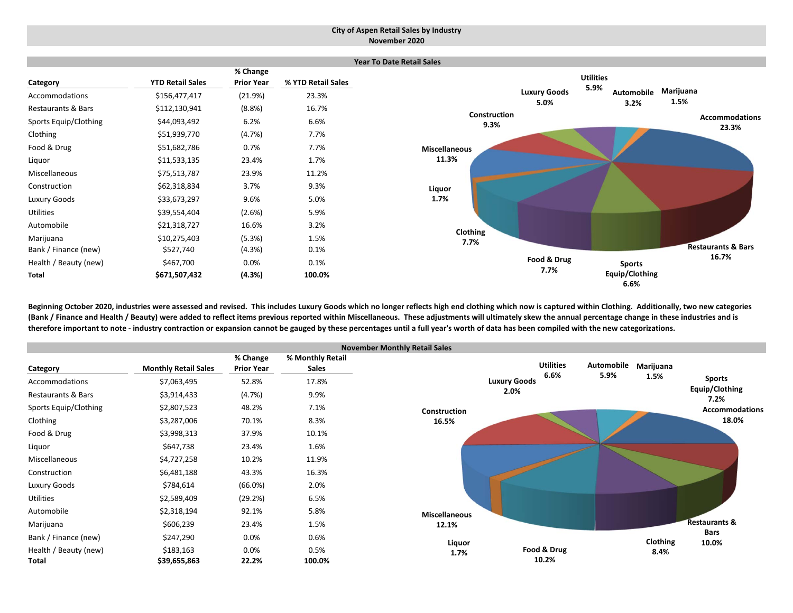#### **City of Aspen Retail Sales by Industry November 2020**



Beginning October 2020, industries were assessed and revised. This includes Luxury Goods which no longer reflects high end clothing which now is captured within Clothing. Additionally, two new categories (Bank / Finance and Health / Beauty) were added to reflect items previous reported within Miscellaneous. These adjustments will ultimately skew the annual percentage change in these industries and is therefore important to note - industry contraction or expansion cannot be gauged by these percentages until a full year's worth of data has been compiled with the new categorizations.

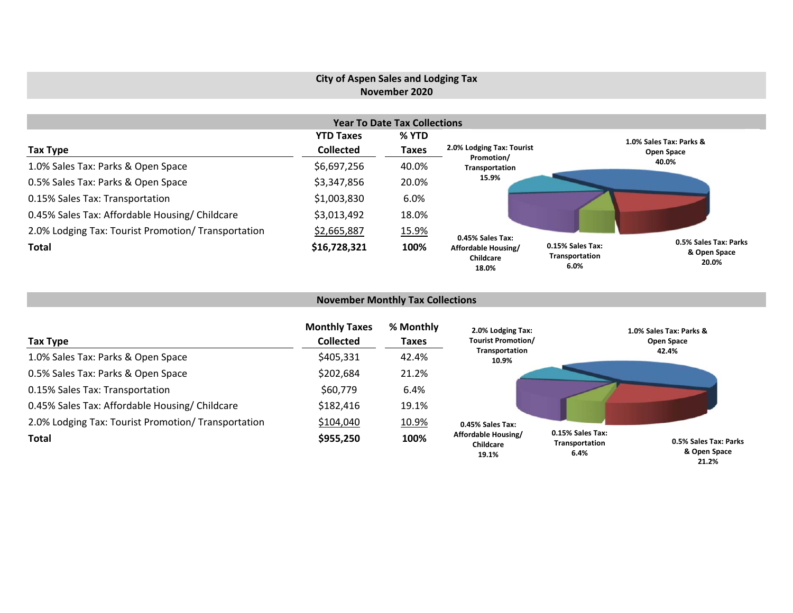# **City of Aspen Sales and Lodging Tax November 2020**

|                                                     |                  | <b>Year To Date Tax Collections</b> |                                           |                                                                                              |  |
|-----------------------------------------------------|------------------|-------------------------------------|-------------------------------------------|----------------------------------------------------------------------------------------------|--|
|                                                     | <b>YTD Taxes</b> | % YTD                               |                                           | 1.0% Sales Tax: Parks &                                                                      |  |
| Tax Type                                            | <b>Collected</b> | <b>Taxes</b>                        | 2.0% Lodging Tax: Tourist<br>Promotion/   | Open Space                                                                                   |  |
| 1.0% Sales Tax: Parks & Open Space                  | \$6,697,256      | 40.0%                               | Transportation                            | 40.0%                                                                                        |  |
| 0.5% Sales Tax: Parks & Open Space                  | \$3,347,856      | 20.0%                               | 15.9%                                     |                                                                                              |  |
| 0.15% Sales Tax: Transportation                     | \$1,003,830      | 6.0%                                |                                           |                                                                                              |  |
| 0.45% Sales Tax: Affordable Housing/ Childcare      | \$3,013,492      | 18.0%                               |                                           |                                                                                              |  |
| 2.0% Lodging Tax: Tourist Promotion/ Transportation | \$2,665,887      | 15.9%                               | 0.45% Sales Tax:                          |                                                                                              |  |
| <b>Total</b>                                        | \$16,728,321     | 100%                                | Affordable Housing/<br>Childcare<br>18.0% | 0.5% Sales Tax: Parks<br>0.15% Sales Tax:<br>& Open Space<br>Transportation<br>20.0%<br>6.0% |  |

### **November Monthly Tax Collections**

| Tax Type                                            | <b>Monthly Taxes</b><br><b>Collected</b> | % Monthly<br><b>Taxes</b> | 2.0% Lodging Tax:<br><b>Tourist Promotion/</b> |                                            | 1.0% Sales Tax: Parks &<br>Open Space |
|-----------------------------------------------------|------------------------------------------|---------------------------|------------------------------------------------|--------------------------------------------|---------------------------------------|
| 1.0% Sales Tax: Parks & Open Space                  | \$405,331                                | 42.4%                     | Transportation<br>10.9%                        |                                            | 42.4%                                 |
| 0.5% Sales Tax: Parks & Open Space                  | \$202,684                                | 21.2%                     |                                                |                                            |                                       |
| 0.15% Sales Tax: Transportation                     | \$60,779                                 | 6.4%                      |                                                |                                            |                                       |
| 0.45% Sales Tax: Affordable Housing/ Childcare      | \$182,416                                | 19.1%                     |                                                |                                            |                                       |
| 2.0% Lodging Tax: Tourist Promotion/ Transportation | \$104,040                                | 10.9%                     | 0.45% Sales Tax:                               |                                            |                                       |
| <b>Total</b>                                        | \$955,250                                | 100%                      | Affordable Housing/<br>Childcare<br>19.1%      | 0.15% Sales Tax:<br>Transportation<br>6.4% | 0.5% Sales Tax: Parks<br>& Open Space |

**21.2%**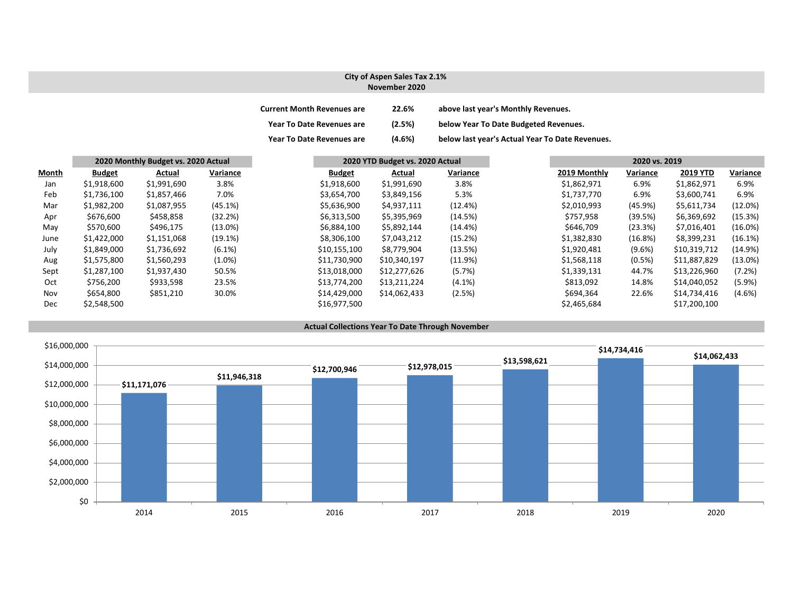### **City of Aspen Sales Tax 2.1% November 2020**

| <b>Current Month Revenues are</b> | 22.6%  | above last year's Monthly Revenues.             |
|-----------------------------------|--------|-------------------------------------------------|
| <b>Year To Date Revenues are</b>  | (2.5%) | below Year To Date Budgeted Revenues.           |
| <b>Year To Date Revenues are</b>  | (4.6%) | below last year's Actual Year To Date Revenues. |

|       |               | 2020 Monthly Budget vs. 2020 Actual |            |               | 2020 YTD Budget vs. 2020 Actual |            | 2020 vs. 2019 |           |              |            |  |
|-------|---------------|-------------------------------------|------------|---------------|---------------------------------|------------|---------------|-----------|--------------|------------|--|
| Month | <b>Budget</b> | Actual                              | Variance   | <b>Budget</b> | Actual                          | Variance   | 2019 Monthly  | Variance  | 2019 YTD     | Variance   |  |
| Jan   | \$1,918,600   | \$1,991,690                         | 3.8%       | \$1,918,600   | \$1,991,690                     | 3.8%       | \$1,862,971   | 6.9%      | \$1,862,971  | 6.9%       |  |
| Feb   | \$1,736,100   | \$1,857,466                         | 7.0%       | \$3,654,700   | \$3,849,156                     | 5.3%       | \$1,737,770   | 6.9%      | \$3,600,741  | 6.9%       |  |
| Mar   | \$1,982,200   | \$1,087,955                         | (45.1%)    | \$5,636,900   | \$4,937,111                     | (12.4%)    | \$2,010,993   | (45.9%)   | \$5,611,734  | $(12.0\%)$ |  |
| Apr   | \$676,600     | \$458,858                           | (32.2%)    | \$6,313,500   | \$5,395,969                     | (14.5%)    | \$757,958     | (39.5%)   | \$6,369,692  | (15.3%)    |  |
| May   | \$570,600     | \$496,175                           | $(13.0\%)$ | \$6,884,100   | \$5,892,144                     | $(14.4\%)$ | \$646,709     | (23.3%)   | \$7,016,401  | $(16.0\%)$ |  |
| June  | \$1,422,000   | \$1,151,068                         | (19.1%)    | \$8,306,100   | \$7,043,212                     | (15.2%)    | \$1,382,830   | (16.8%)   | \$8,399,231  | (16.1%)    |  |
| July  | \$1,849,000   | \$1,736,692                         | (6.1%)     | \$10,155,100  | \$8,779,904                     | (13.5%)    | \$1,920,481   | $(9.6\%)$ | \$10,319,712 | $(14.9\%)$ |  |
| Aug   | \$1,575,800   | \$1,560,293                         | $(1.0\%)$  | \$11,730,900  | \$10,340,197                    | (11.9%)    | \$1,568,118   | (0.5%)    | \$11,887,829 | $(13.0\%)$ |  |
| Sept  | \$1,287,100   | \$1,937,430                         | 50.5%      | \$13,018,000  | \$12,277,626                    | (5.7%)     | \$1,339,131   | 44.7%     | \$13,226,960 | (7.2%)     |  |
| Oct   | \$756,200     | \$933,598                           | 23.5%      | \$13,774,200  | \$13,211,224                    | $(4.1\%)$  | \$813,092     | 14.8%     | \$14,040,052 | $(5.9\%)$  |  |
| Nov   | \$654,800     | \$851,210                           | 30.0%      | \$14,429,000  | \$14,062,433                    | (2.5%)     | \$694,364     | 22.6%     | \$14,734,416 | $(4.6\%)$  |  |
| Dec   | \$2,548,500   |                                     |            | \$16,977,500  |                                 |            | \$2,465,684   |           | \$17,200,100 |            |  |

#### **Actual Collections Year To Date Through November**

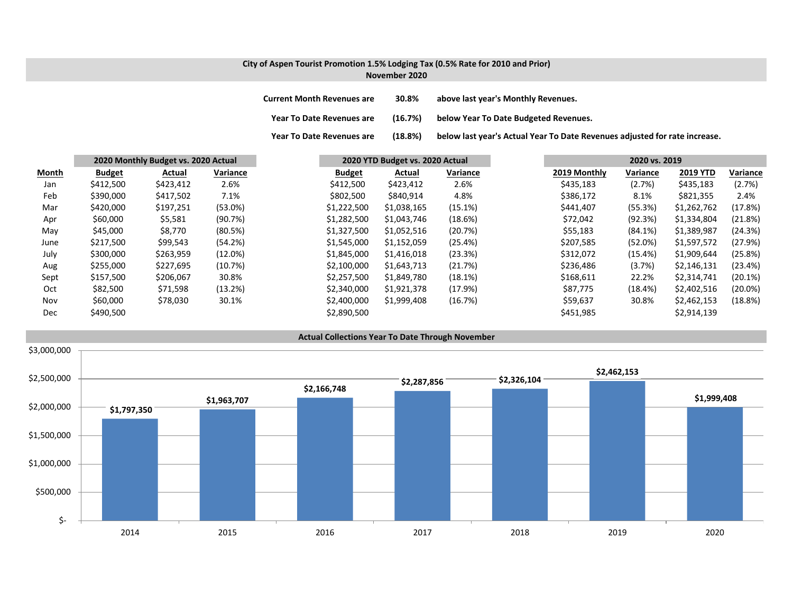### **City of Aspen Tourist Promotion 1.5% Lodging Tax (0.5% Rate for 2010 and Prior) November 2020**

**Current MonthRevenues are 30.8% above last year's Monthly Revenues.**

**Year ToDate Revenues are (16.7%) below Year To Date Budgeted Revenues.**

**Year To**(18.8%) below last year's Actual Year To Date Revenues adjusted for rate increase.

|       |               | 2020 Monthly Budget vs. 2020 Actual |            | 2020 YTD Budget vs. 2020 Actual |             |          | 2020 vs. 2019 |              |            |                 |            |
|-------|---------------|-------------------------------------|------------|---------------------------------|-------------|----------|---------------|--------------|------------|-----------------|------------|
| Month | <b>Budget</b> | Actual                              | Variance   | <b>Budget</b>                   | Actual      | Variance |               | 2019 Monthly | Variance   | <b>2019 YTD</b> | Variance   |
| Jan   | \$412,500     | \$423,412                           | 2.6%       | \$412,500                       | \$423,412   | 2.6%     |               | \$435,183    | (2.7%)     | \$435,183       | (2.7%)     |
| Feb   | \$390,000     | \$417,502                           | 7.1%       | \$802,500                       | \$840,914   | 4.8%     |               | \$386,172    | 8.1%       | \$821,355       | 2.4%       |
| Mar   | \$420,000     | \$197,251                           | $(53.0\%)$ | \$1,222,500                     | \$1,038,165 | (15.1%)  |               | \$441,407    | (55.3%)    | \$1,262,762     | (17.8%)    |
| Apr   | \$60,000      | \$5,581                             | (90.7%)    | \$1,282,500                     | \$1,043,746 | (18.6%)  |               | \$72,042     | (92.3%)    | \$1,334,804     | (21.8%)    |
| May   | \$45,000      | \$8,770                             | (80.5%)    | \$1,327,500                     | \$1,052,516 | (20.7%)  |               | \$55,183     | $(84.1\%)$ | \$1,389,987     | (24.3%)    |
| June  | \$217,500     | \$99,543                            | (54.2%)    | \$1,545,000                     | \$1,152,059 | (25.4%)  |               | \$207,585    | (52.0%)    | \$1,597,572     | (27.9%)    |
| July  | \$300,000     | \$263,959                           | $(12.0\%)$ | \$1,845,000                     | \$1,416,018 | (23.3%)  |               | \$312,072    | (15.4%)    | \$1,909,644     | (25.8%)    |
| Aug   | \$255,000     | \$227,695                           | (10.7%)    | \$2,100,000                     | \$1,643,713 | (21.7%)  |               | \$236,486    | (3.7%)     | \$2,146,131     | (23.4%)    |
| Sept  | \$157,500     | \$206,067                           | 30.8%      | \$2,257,500                     | \$1,849,780 | (18.1%)  |               | \$168,611    | 22.2%      | \$2,314,741     | (20.1%)    |
| Oct   | \$82,500      | \$71,598                            | (13.2%)    | \$2,340,000                     | \$1,921,378 | (17.9%)  |               | \$87,775     | (18.4%)    | \$2,402,516     | $(20.0\%)$ |
| Nov   | \$60,000      | \$78,030                            | 30.1%      | \$2,400,000                     | \$1,999,408 | (16.7%)  |               | \$59,637     | 30.8%      | \$2,462,153     | (18.8%)    |
| Dec   | \$490,500     |                                     |            | \$2,890,500                     |             |          |               | \$451,985    |            | \$2,914,139     |            |

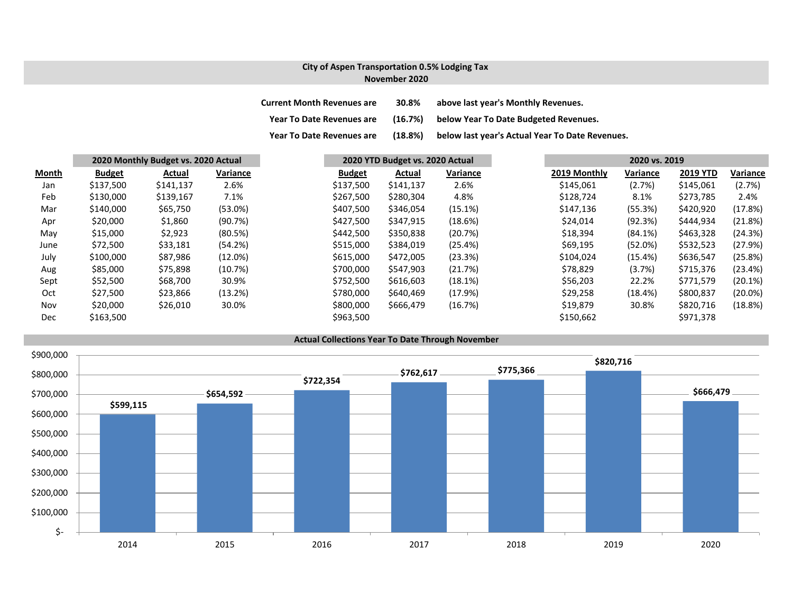### **City of Aspen Transportation 0.5% Lodging Tax November 2020**

| <b>Current Month Revenues are</b> | 30.8%   | above last year's Monthly Revenues.             |
|-----------------------------------|---------|-------------------------------------------------|
| <b>Year To Date Revenues are</b>  | (16.7%) | below Year To Date Budgeted Revenues.           |
| <b>Year To Date Revenues are</b>  | (18.8%) | below last year's Actual Year To Date Revenues. |

|       |               | 2020 Monthly Budget vs. 2020 Actual |            |               | 2020 YTD Budget vs. 2020 Actual |          |  | 2020 vs. 2019 |          |                 |          |  |
|-------|---------------|-------------------------------------|------------|---------------|---------------------------------|----------|--|---------------|----------|-----------------|----------|--|
| Month | <b>Budget</b> | Actual                              | Variance   | <b>Budget</b> | Actual                          | Variance |  | 2019 Monthly  | Variance | <b>2019 YTD</b> | Variance |  |
| Jan   | \$137,500     | \$141,137                           | 2.6%       | \$137,500     | \$141,137                       | 2.6%     |  | \$145,061     | (2.7%)   | \$145,061       | (2.7%)   |  |
| Feb   | \$130,000     | \$139,167                           | 7.1%       | \$267,500     | \$280,304                       | 4.8%     |  | \$128,724     | 8.1%     | \$273,785       | 2.4%     |  |
| Mar   | \$140,000     | \$65,750                            | (53.0%)    | \$407,500     | \$346,054                       | (15.1%)  |  | \$147,136     | (55.3%)  | \$420,920       | (17.8%)  |  |
| Apr   | \$20,000      | \$1,860                             | (90.7%)    | \$427,500     | \$347,915                       | (18.6%)  |  | \$24,014      | (92.3%)  | \$444,934       | (21.8%)  |  |
| May   | \$15,000      | \$2,923                             | (80.5%)    | \$442,500     | \$350,838                       | (20.7%)  |  | \$18,394      | (84.1%)  | \$463,328       | (24.3%)  |  |
| June  | \$72,500      | \$33,181                            | (54.2%)    | \$515,000     | \$384,019                       | (25.4%)  |  | \$69,195      | (52.0%)  | \$532,523       | (27.9%)  |  |
| July  | \$100,000     | \$87,986                            | $(12.0\%)$ | \$615,000     | \$472,005                       | (23.3%)  |  | \$104,024     | (15.4%)  | \$636,547       | (25.8%)  |  |
| Aug   | \$85,000      | \$75,898                            | (10.7%)    | \$700,000     | \$547,903                       | (21.7%)  |  | \$78,829      | (3.7%)   | \$715,376       | (23.4%)  |  |
| Sept  | \$52,500      | \$68,700                            | 30.9%      | \$752,500     | \$616,603                       | (18.1%)  |  | \$56,203      | 22.2%    | \$771,579       | (20.1%)  |  |
| Oct   | \$27,500      | \$23,866                            | (13.2%)    | \$780,000     | \$640,469                       | (17.9%)  |  | \$29,258      | (18.4%)  | \$800,837       | (20.0%)  |  |
| Nov   | \$20,000      | \$26,010                            | 30.0%      | \$800,000     | \$666,479                       | (16.7%)  |  | \$19,879      | 30.8%    | \$820,716       | (18.8%)  |  |
| Dec   | \$163,500     |                                     |            | \$963,500     |                                 |          |  | \$150,662     |          | \$971,378       |          |  |

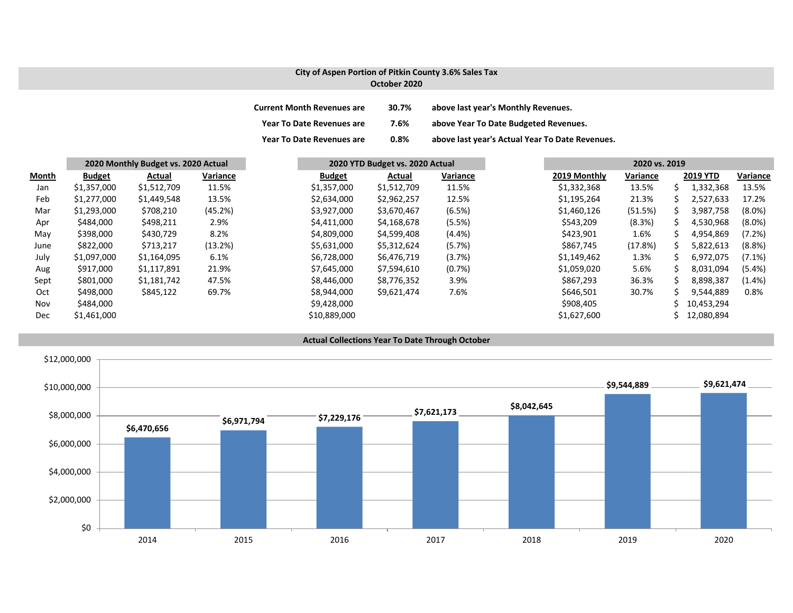## **City of Aspen Portion of Pitkin County 3.6% Sales Tax October 2020**

| <b>Current Month Revenues are</b> | 30.7% | above last year's Monthly Revenues.             |
|-----------------------------------|-------|-------------------------------------------------|
| <b>Year To Date Revenues are</b>  | 7.6%  | above Year To Date Budgeted Revenues.           |
| <b>Year To Date Revenues are</b>  | 0.8%  | above last year's Actual Year To Date Revenues. |

|       |               | 2020 Monthly Budget vs. 2020 Actual |          |               | 2020 YTD Budget vs. 2020 Actual |           |              | 2020 vs. 2019 |    |                 |           |
|-------|---------------|-------------------------------------|----------|---------------|---------------------------------|-----------|--------------|---------------|----|-----------------|-----------|
| Month | <b>Budget</b> | Actual                              | Variance | <b>Budget</b> | Actual                          | Variance  | 2019 Monthly | Variance      |    | <b>2019 YTD</b> | Variance  |
| Jan   | \$1,357,000   | \$1,512,709                         | 11.5%    | \$1,357,000   | \$1,512,709                     | 11.5%     | \$1,332,368  | 13.5%         |    | 1,332,368       | 13.5%     |
| Feb   | \$1,277,000   | \$1,449,548                         | 13.5%    | \$2,634,000   | \$2,962,257                     | 12.5%     | \$1,195,264  | 21.3%         | s  | 2,527,633       | 17.2%     |
| Mar   | \$1,293,000   | \$708,210                           | (45.2%)  | \$3,927,000   | \$3,670,467                     | (6.5%)    | \$1,460,126  | (51.5%)       |    | 3,987,758       | $(8.0\%)$ |
| Apr   | \$484,000     | \$498,211                           | 2.9%     | \$4,411,000   | \$4,168,678                     | (5.5%)    | \$543,209    | (8.3%)        | S. | 4,530,968       | $(8.0\%)$ |
| May   | \$398,000     | \$430,729                           | 8.2%     | \$4,809,000   | \$4,599,408                     | $(4.4\%)$ | \$423,901    | 1.6%          |    | 4,954,869       | (7.2%)    |
| June  | \$822,000     | \$713,217                           | (13.2%)  | \$5,631,000   | \$5,312,624                     | (5.7%)    | \$867,745    | (17.8%)       |    | 5,822,613       | (8.8%)    |
| July  | \$1,097,000   | \$1,164,095                         | 6.1%     | \$6,728,000   | \$6,476,719                     | (3.7%)    | \$1,149,462  | 1.3%          |    | 6,972,075       | $(7.1\%)$ |
| Aug   | \$917,000     | \$1,117,891                         | 21.9%    | \$7.645.000   | \$7,594,610                     | (0.7%)    | \$1,059,020  | 5.6%          | S. | 8.031.094       | $(5.4\%)$ |
| Sept  | \$801,000     | \$1,181,742                         | 47.5%    | \$8,446,000   | \$8,776,352                     | 3.9%      | \$867,293    | 36.3%         | S. | 8,898,387       | $(1.4\%)$ |
| Oct   | \$498,000     | \$845,122                           | 69.7%    | \$8,944,000   | \$9,621,474                     | 7.6%      | \$646,501    | 30.7%         |    | 9.544.889       | 0.8%      |
| Nov   | \$484,000     |                                     |          | \$9,428,000   |                                 |           | \$908,405    |               |    | 10,453,294      |           |
| Dec   | \$1,461,000   |                                     |          | \$10,889,000  |                                 |           | \$1,627,600  |               |    | 12,080,894      |           |

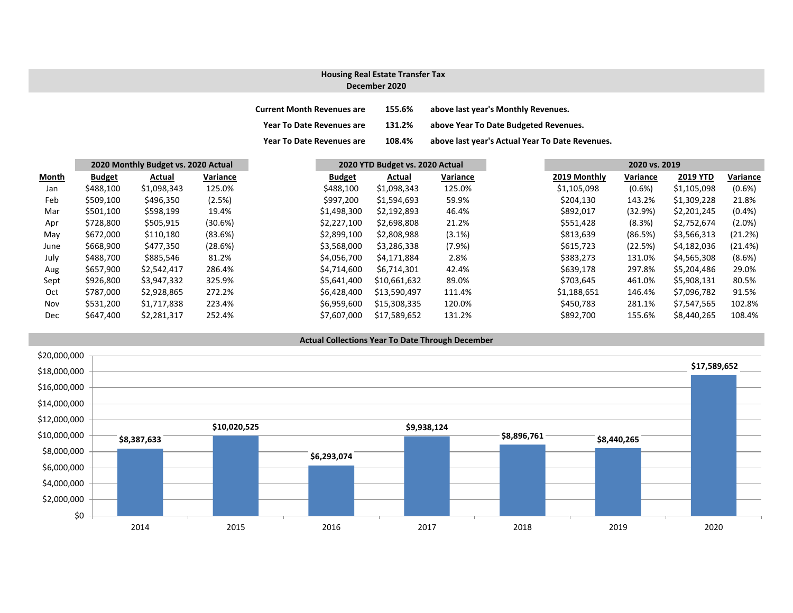### **December 2020 Housing Real Estate Transfer Tax**

| <b>Current Month Revenues are</b> | 155.6% | above last year's Monthly Revenues.             |
|-----------------------------------|--------|-------------------------------------------------|
| <b>Year To Date Revenues are</b>  | 131.2% | above Year To Date Budgeted Revenues.           |
| <b>Year To Date Revenues are</b>  | 108.4% | above last year's Actual Year To Date Revenues. |

|       |               | 2020 Monthly Budget vs. 2020 Actual |          |               | 2020 YTD Budget vs. 2020 Actual |           |  | 2020 vs. 2019 |           |  |
|-------|---------------|-------------------------------------|----------|---------------|---------------------------------|-----------|--|---------------|-----------|--|
| Month | <b>Budget</b> | Actual                              | Variance | <b>Budget</b> | Actual                          | Variance  |  | 2019 Monthly  | Variance  |  |
| Jan   | \$488,100     | \$1,098,343                         | 125.0%   | \$488,100     | \$1,098,343                     | 125.0%    |  | \$1,105,098   | $(0.6\%)$ |  |
| Feb   | \$509,100     | \$496,350                           | (2.5%)   | \$997,200     | \$1,594,693                     | 59.9%     |  | \$204,130     | 143.2%    |  |
| Mar   | \$501,100     | \$598,199                           | 19.4%    | \$1,498,300   | \$2,192,893                     | 46.4%     |  | \$892,017     | (32.9%)   |  |
| Apr   | \$728,800     | \$505,915                           | (30.6%)  | \$2,227,100   | \$2,698,808                     | 21.2%     |  | \$551,428     | (8.3%)    |  |
| May   | \$672,000     | \$110,180                           | (83.6%)  | \$2,899,100   | \$2,808,988                     | $(3.1\%)$ |  | \$813,639     | (86.5%)   |  |
| June  | \$668,900     | \$477,350                           | (28.6%)  | \$3,568,000   | \$3,286,338                     | (7.9%)    |  | \$615,723     | (22.5%)   |  |
| July  | \$488,700     | \$885,546                           | 81.2%    | \$4,056,700   | \$4,171,884                     | 2.8%      |  | \$383,273     | 131.0%    |  |
| Aug   | \$657,900     | \$2,542,417                         | 286.4%   | \$4,714,600   | \$6,714,301                     | 42.4%     |  | \$639,178     | 297.8%    |  |
| Sept  | \$926,800     | \$3,947,332                         | 325.9%   | \$5,641,400   | \$10,661,632                    | 89.0%     |  | \$703,645     | 461.0%    |  |
| Oct   | \$787,000     | \$2,928,865                         | 272.2%   | \$6,428,400   | \$13,590,497                    | 111.4%    |  | \$1,188,651   | 146.4%    |  |
| Nov   | \$531,200     | \$1,717,838                         | 223.4%   | \$6,959,600   | \$15,308,335                    | 120.0%    |  | \$450,783     | 281.1%    |  |
| Dec   | \$647,400     | \$2,281,317                         | 252.4%   | \$7,607,000   | \$17,589,652                    | 131.2%    |  | \$892,700     | 155.6%    |  |